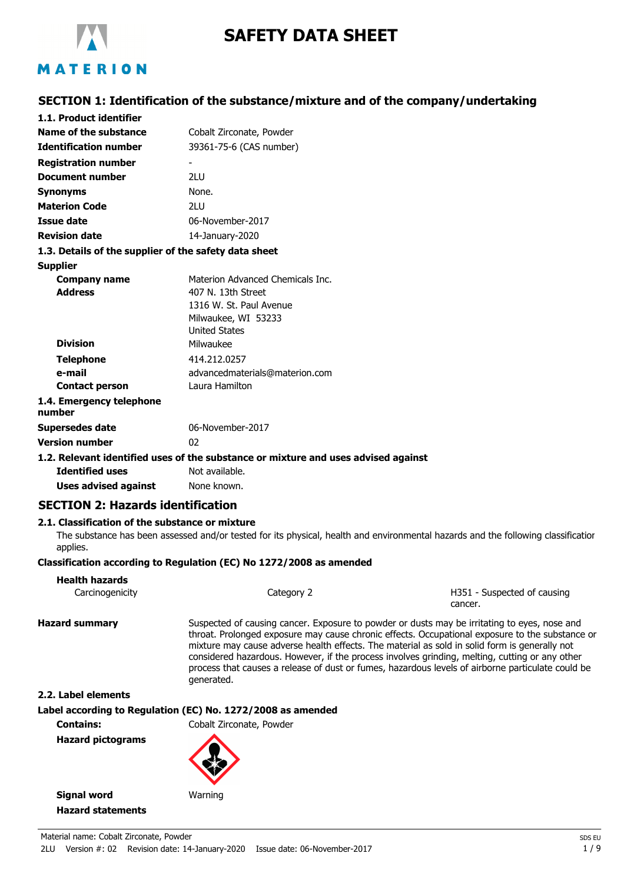

# **SAFETY DATA SHEET**

# **SECTION 1: Identification of the substance/mixture and of the company/undertaking**

| 1.1. Product identifier                               |                                                                                    |
|-------------------------------------------------------|------------------------------------------------------------------------------------|
| Name of the substance                                 | Cobalt Zirconate, Powder                                                           |
| <b>Identification number</b>                          | 39361-75-6 (CAS number)                                                            |
| <b>Registration number</b>                            |                                                                                    |
| <b>Document number</b>                                | 21 U                                                                               |
| <b>Synonyms</b>                                       | None.                                                                              |
| <b>Materion Code</b>                                  | 21 U                                                                               |
| Issue date                                            | 06-November-2017                                                                   |
| <b>Revision date</b>                                  | 14-January-2020                                                                    |
| 1.3. Details of the supplier of the safety data sheet |                                                                                    |
| <b>Supplier</b>                                       |                                                                                    |
| Company name                                          | Materion Advanced Chemicals Inc.                                                   |
| <b>Address</b>                                        | 407 N. 13th Street                                                                 |
|                                                       | 1316 W. St. Paul Avenue                                                            |
|                                                       | Milwaukee, WI 53233                                                                |
|                                                       | <b>United States</b>                                                               |
| <b>Division</b>                                       | Milwaukee                                                                          |
| <b>Telephone</b>                                      | 414.212.0257                                                                       |
| e-mail                                                | advancedmaterials@materion.com                                                     |
| <b>Contact person</b>                                 | Laura Hamilton                                                                     |
| 1.4. Emergency telephone<br>number                    |                                                                                    |
| <b>Supersedes date</b>                                | 06-November-2017                                                                   |
| <b>Version number</b>                                 | 02                                                                                 |
|                                                       | 1.2. Relevant identified uses of the substance or mixture and uses advised against |
| <b>Identified uses</b>                                | Not available.                                                                     |
|                                                       |                                                                                    |

**Uses advised against** None known.

# **SECTION 2: Hazards identification**

### **2.1. Classification of the substance or mixture**

The substance has been assessed and/or tested for its physical, health and environmental hazards and the following classification applies.

#### **Classification according to Regulation (EC) No 1272/2008 as amended**

| <b>Health hazards</b><br>Carcinogenicity | Category 2                                                                                                                                                                                                                                                                                                    | H351 - Suspected of causing<br>cancer.                                                                                                                                                               |
|------------------------------------------|---------------------------------------------------------------------------------------------------------------------------------------------------------------------------------------------------------------------------------------------------------------------------------------------------------------|------------------------------------------------------------------------------------------------------------------------------------------------------------------------------------------------------|
| <b>Hazard summary</b>                    | Suspected of causing cancer. Exposure to powder or dusts may be irritating to eyes, nose and<br>mixture may cause adverse health effects. The material as sold in solid form is generally not<br>considered hazardous. However, if the process involves grinding, melting, cutting or any other<br>generated. | throat. Prolonged exposure may cause chronic effects. Occupational exposure to the substance or<br>process that causes a release of dust or fumes, hazardous levels of airborne particulate could be |
| 2.2. Label elements                      |                                                                                                                                                                                                                                                                                                               |                                                                                                                                                                                                      |

#### **Label according to Regulation (EC) No. 1272/2008 as amended**

**Contains:** Cobalt Zirconate, Powder

**Hazard pictograms**

**Hazard statements**

**Signal word** Warning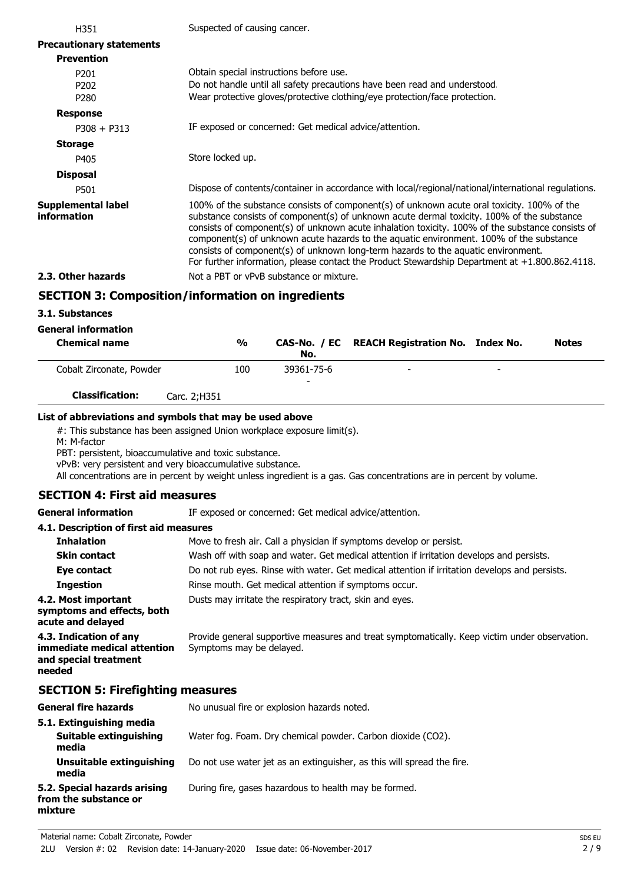| H351                                                     | Suspected of causing cancer.                                                                                                                                                                                                                                                                                                                                                                                                                                                                                                                                                      |
|----------------------------------------------------------|-----------------------------------------------------------------------------------------------------------------------------------------------------------------------------------------------------------------------------------------------------------------------------------------------------------------------------------------------------------------------------------------------------------------------------------------------------------------------------------------------------------------------------------------------------------------------------------|
| <b>Precautionary statements</b>                          |                                                                                                                                                                                                                                                                                                                                                                                                                                                                                                                                                                                   |
| <b>Prevention</b>                                        |                                                                                                                                                                                                                                                                                                                                                                                                                                                                                                                                                                                   |
| P <sub>201</sub><br>P <sub>202</sub><br>P <sub>280</sub> | Obtain special instructions before use.<br>Do not handle until all safety precautions have been read and understood.<br>Wear protective gloves/protective clothing/eye protection/face protection.                                                                                                                                                                                                                                                                                                                                                                                |
| <b>Response</b>                                          |                                                                                                                                                                                                                                                                                                                                                                                                                                                                                                                                                                                   |
| $P308 + P313$                                            | IF exposed or concerned: Get medical advice/attention.                                                                                                                                                                                                                                                                                                                                                                                                                                                                                                                            |
| <b>Storage</b>                                           |                                                                                                                                                                                                                                                                                                                                                                                                                                                                                                                                                                                   |
| P405                                                     | Store locked up.                                                                                                                                                                                                                                                                                                                                                                                                                                                                                                                                                                  |
| <b>Disposal</b>                                          |                                                                                                                                                                                                                                                                                                                                                                                                                                                                                                                                                                                   |
| P501                                                     | Dispose of contents/container in accordance with local/regional/national/international regulations.                                                                                                                                                                                                                                                                                                                                                                                                                                                                               |
| Supplemental label<br><b>information</b>                 | 100% of the substance consists of component(s) of unknown acute oral toxicity. 100% of the<br>substance consists of component(s) of unknown acute dermal toxicity. 100% of the substance<br>consists of component(s) of unknown acute inhalation toxicity. 100% of the substance consists of<br>component(s) of unknown acute hazards to the aquatic environment. 100% of the substance<br>consists of component(s) of unknown long-term hazards to the aquatic environment.<br>For further information, please contact the Product Stewardship Department at $+1.800.862.4118$ . |
| 2.3. Other hazards                                       | Not a PBT or vPvB substance or mixture.                                                                                                                                                                                                                                                                                                                                                                                                                                                                                                                                           |
|                                                          | <b>SECTION 3: Composition/information on ingredients</b>                                                                                                                                                                                                                                                                                                                                                                                                                                                                                                                          |

# **3.1. Substances**

## **General information**

| <b>Chemical name</b>     |              | $\frac{0}{0}$ | No.             | CAS-No. / EC REACH Registration No. Index No. |                          | <b>Notes</b> |
|--------------------------|--------------|---------------|-----------------|-----------------------------------------------|--------------------------|--------------|
| Cobalt Zirconate, Powder |              | 100           | 39361-75-6<br>- | -                                             | $\overline{\phantom{0}}$ |              |
| <b>Classification:</b>   | Carc. 2:H351 |               |                 |                                               |                          |              |

#### **List of abbreviations and symbols that may be used above**

#: This substance has been assigned Union workplace exposure limit(s).

M: M-factor

PBT: persistent, bioaccumulative and toxic substance.

vPvB: very persistent and very bioaccumulative substance.

All concentrations are in percent by weight unless ingredient is a gas. Gas concentrations are in percent by volume.

### **SECTION 4: First aid measures**

**General information** IF exposed or concerned: Get medical advice/attention.

#### **4.1. Description of first aid measures**

| <b>Inhalation</b>                                                                        | Move to fresh air. Call a physician if symptoms develop or persist.                                                       |
|------------------------------------------------------------------------------------------|---------------------------------------------------------------------------------------------------------------------------|
| <b>Skin contact</b>                                                                      | Wash off with soap and water. Get medical attention if irritation develops and persists.                                  |
| Eye contact                                                                              | Do not rub eyes. Rinse with water. Get medical attention if irritation develops and persists.                             |
| <b>Ingestion</b>                                                                         | Rinse mouth. Get medical attention if symptoms occur.                                                                     |
| 4.2. Most important<br>symptoms and effects, both<br>acute and delayed                   | Dusts may irritate the respiratory tract, skin and eyes.                                                                  |
| 4.3. Indication of any<br>immediate medical attention<br>and special treatment<br>needed | Provide general supportive measures and treat symptomatically. Keep victim under observation.<br>Symptoms may be delayed. |

# **SECTION 5: Firefighting measures**

| <b>General fire hazards</b>                                      | No unusual fire or explosion hazards noted.                            |
|------------------------------------------------------------------|------------------------------------------------------------------------|
| 5.1. Extinguishing media<br>Suitable extinguishing<br>media      | Water fog. Foam. Dry chemical powder. Carbon dioxide (CO2).            |
| Unsuitable extinguishing<br>media                                | Do not use water jet as an extinguisher, as this will spread the fire. |
| 5.2. Special hazards arising<br>from the substance or<br>mixture | During fire, gases hazardous to health may be formed.                  |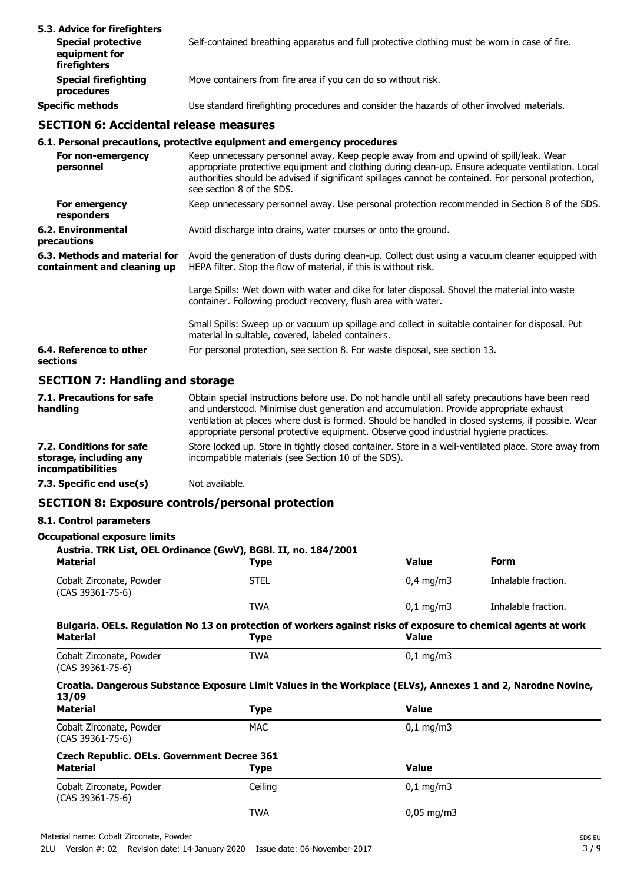| 5.3. Advice for firefighters<br><b>Special protective</b><br>equipment for<br>firefighters | Self-contained breathing apparatus and full protective clothing must be worn in case of fire. |
|--------------------------------------------------------------------------------------------|-----------------------------------------------------------------------------------------------|
| <b>Special firefighting</b><br>procedures                                                  | Move containers from fire area if you can do so without risk.                                 |
| <b>Specific methods</b>                                                                    | Use standard firefighting procedures and consider the hazards of other involved materials.    |

# **SECTION 6: Accidental release measures**

### **6.1. Personal precautions, protective equipment and emergency procedures**

| For non-emergency<br>personnel                               | Keep unnecessary personnel away. Keep people away from and upwind of spill/leak. Wear<br>appropriate protective equipment and clothing during clean-up. Ensure adequate ventilation. Local<br>authorities should be advised if significant spillages cannot be contained. For personal protection,<br>see section 8 of the SDS. |
|--------------------------------------------------------------|---------------------------------------------------------------------------------------------------------------------------------------------------------------------------------------------------------------------------------------------------------------------------------------------------------------------------------|
| For emergency<br>responders                                  | Keep unnecessary personnel away. Use personal protection recommended in Section 8 of the SDS.                                                                                                                                                                                                                                   |
| 6.2. Environmental<br>precautions                            | Avoid discharge into drains, water courses or onto the ground.                                                                                                                                                                                                                                                                  |
| 6.3. Methods and material for<br>containment and cleaning up | Avoid the generation of dusts during clean-up. Collect dust using a vacuum cleaner equipped with<br>HEPA filter. Stop the flow of material, if this is without risk.                                                                                                                                                            |
|                                                              | Large Spills: Wet down with water and dike for later disposal. Shovel the material into waste<br>container. Following product recovery, flush area with water.                                                                                                                                                                  |
|                                                              | Small Spills: Sweep up or vacuum up spillage and collect in suitable container for disposal. Put<br>material in suitable, covered, labeled containers.                                                                                                                                                                          |
| 6.4. Reference to other<br>sections                          | For personal protection, see section 8. For waste disposal, see section 13.                                                                                                                                                                                                                                                     |
|                                                              |                                                                                                                                                                                                                                                                                                                                 |

# **SECTION 7: Handling and storage**

| 7.1. Precautions for safe<br>handling                                   | Obtain special instructions before use. Do not handle until all safety precautions have been read<br>and understood. Minimise dust generation and accumulation. Provide appropriate exhaust<br>ventilation at places where dust is formed. Should be handled in closed systems, if possible. Wear<br>appropriate personal protective equipment. Observe good industrial hygiene practices. |
|-------------------------------------------------------------------------|--------------------------------------------------------------------------------------------------------------------------------------------------------------------------------------------------------------------------------------------------------------------------------------------------------------------------------------------------------------------------------------------|
| 7.2. Conditions for safe<br>storage, including any<br>incompatibilities | Store locked up. Store in tightly closed container. Store in a well-ventilated place. Store away from<br>incompatible materials (see Section 10 of the SDS).                                                                                                                                                                                                                               |
| 7.3. Specific end use(s)                                                | Not available.                                                                                                                                                                                                                                                                                                                                                                             |

# **SECTION 8: Exposure controls/personal protection**

### **8.1. Control parameters**

#### **Occupational exposure limits**

| Austria. TRK List, OEL Ordinance (GwV), BGBI. II, no. 184/2001<br><b>Material</b>                                          | <b>Type</b> | <b>Value</b>           | <b>Form</b>         |
|----------------------------------------------------------------------------------------------------------------------------|-------------|------------------------|---------------------|
| Cobalt Zirconate, Powder<br>(CAS 39361-75-6)                                                                               | <b>STEL</b> | $0,4$ mg/m3            | Inhalable fraction. |
|                                                                                                                            | <b>TWA</b>  | $0,1 \,\mathrm{mg/m3}$ | Inhalable fraction. |
| Bulgaria. OELs. Regulation No 13 on protection of workers against risks of exposure to chemical agents at work<br>Material | <b>Type</b> | <b>Value</b>           |                     |
| Cobalt Zirconate, Powder<br>(CAS 39361-75-6)                                                                               | <b>TWA</b>  | $0.1 \text{ mg/m}$     |                     |
| Croatia. Dangerous Substance Exposure Limit Values in the Workplace (ELVs), Annexes 1 and 2, Narodne Novine,<br>13/09      |             |                        |                     |
| <b>Material</b>                                                                                                            | <b>Type</b> | <b>Value</b>           |                     |
| Cobalt Zirconate, Powder<br>$(CAS 39361 - 75 - 6)$                                                                         | <b>MAC</b>  | $0.1 \,\mathrm{mq/m}$  |                     |
| <b>Czech Republic. OELs. Government Decree 361</b>                                                                         |             |                        |                     |
| <b>Material</b>                                                                                                            | Type        | <b>Value</b>           |                     |
| Cobalt Zirconate, Powder<br>$(CAS 39361 - 75 - 6)$                                                                         | Ceiling     | $0,1 \, \text{mg/m}$   |                     |
|                                                                                                                            | <b>TWA</b>  | $0,05 \,\mathrm{mg/m}$ |                     |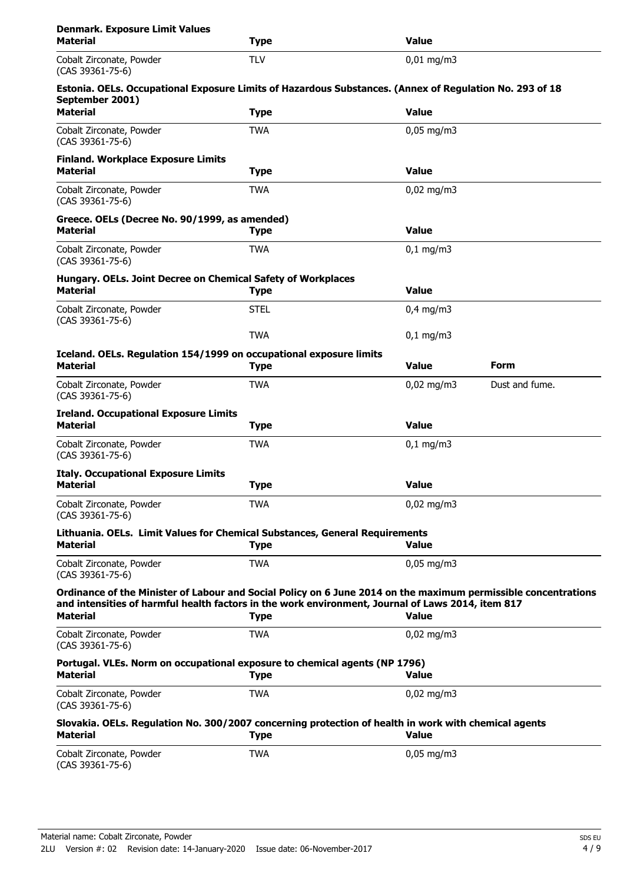| <b>Denmark. Exposure Limit Values</b><br><b>Material</b>                                                                   | <b>Type</b> | <b>Value</b>           |                |  |  |
|----------------------------------------------------------------------------------------------------------------------------|-------------|------------------------|----------------|--|--|
| Cobalt Zirconate, Powder<br>(CAS 39361-75-6)                                                                               | <b>TLV</b>  | $0,01$ mg/m3           |                |  |  |
| Estonia. OELs. Occupational Exposure Limits of Hazardous Substances. (Annex of Regulation No. 293 of 18<br>September 2001) |             |                        |                |  |  |
| <b>Material</b>                                                                                                            | <b>Type</b> | <b>Value</b>           |                |  |  |
| Cobalt Zirconate, Powder<br>$(CAS 39361 - 75 - 6)$                                                                         | <b>TWA</b>  | $0,05$ mg/m3           |                |  |  |
| <b>Finland. Workplace Exposure Limits</b><br><b>Material</b>                                                               | <b>Type</b> | <b>Value</b>           |                |  |  |
| Cobalt Zirconate, Powder<br>$(CAS 39361 - 75 - 6)$                                                                         | <b>TWA</b>  | $0,02 \text{ mg/m}$ 3  |                |  |  |
| Greece. OELs (Decree No. 90/1999, as amended)                                                                              |             |                        |                |  |  |
| <b>Material</b>                                                                                                            | <b>Type</b> | <b>Value</b>           |                |  |  |
| Cobalt Zirconate, Powder<br>$(CAS 39361 - 75 - 6)$                                                                         | <b>TWA</b>  | $0,1 \, \text{mg/m}$   |                |  |  |
| Hungary. OELs. Joint Decree on Chemical Safety of Workplaces<br><b>Material</b>                                            | <b>Type</b> | <b>Value</b>           |                |  |  |
| Cobalt Zirconate, Powder<br>(CAS 39361-75-6)                                                                               | <b>STEL</b> | $0.4$ mg/m3            |                |  |  |
|                                                                                                                            | <b>TWA</b>  | $0,1$ mg/m3            |                |  |  |
| Iceland. OELs. Regulation 154/1999 on occupational exposure limits<br><b>Material</b>                                      | <b>Type</b> | <b>Value</b>           | Form           |  |  |
| Cobalt Zirconate, Powder<br>$(CAS 39361 - 75 - 6)$                                                                         | <b>TWA</b>  | $0,02$ mg/m3           | Dust and fume. |  |  |
| <b>Ireland. Occupational Exposure Limits</b><br><b>Material</b>                                                            | <b>Type</b> | <b>Value</b>           |                |  |  |
| Cobalt Zirconate, Powder<br>(CAS 39361-75-6)                                                                               | <b>TWA</b>  | $0,1$ mg/m3            |                |  |  |
| <b>Italy. Occupational Exposure Limits</b>                                                                                 |             |                        |                |  |  |
| <b>Material</b>                                                                                                            | <b>Type</b> | <b>Value</b>           |                |  |  |
| Cobalt Zirconate, Powder<br>(CAS 39361-75-6)                                                                               | <b>TWA</b>  | $0,02$ mg/m3           |                |  |  |
| Lithuania. OELs. Limit Values for Chemical Substances, General Requirements<br><b>Material</b>                             | <b>Type</b> | <b>Value</b>           |                |  |  |
| Cobalt Zirconate, Powder<br>(CAS 39361-75-6)                                                                               | <b>TWA</b>  | $0,05$ mg/m3           |                |  |  |
| Ordinance of the Minister of Labour and Social Policy on 6 June 2014 on the maximum permissible concentrations             |             |                        |                |  |  |
| and intensities of harmful health factors in the work environment, Journal of Laws 2014, item 817<br><b>Material</b>       | <b>Type</b> | <b>Value</b>           |                |  |  |
| Cobalt Zirconate, Powder<br>$(CAS 39361 - 75 - 6)$                                                                         | <b>TWA</b>  | $0,02$ mg/m3           |                |  |  |
| Portugal. VLEs. Norm on occupational exposure to chemical agents (NP 1796)<br><b>Material</b>                              | <b>Type</b> | <b>Value</b>           |                |  |  |
| Cobalt Zirconate, Powder<br>$(CAS 39361 - 75 - 6)$                                                                         | <b>TWA</b>  | $0,02 \text{ mg/m}$ 3  |                |  |  |
| Slovakia. OELs. Regulation No. 300/2007 concerning protection of health in work with chemical agents<br><b>Material</b>    | <b>Type</b> | <b>Value</b>           |                |  |  |
| Cobalt Zirconate, Powder<br>(CAS 39361-75-6)                                                                               | <b>TWA</b>  | $0,05 \,\mathrm{mg/m}$ |                |  |  |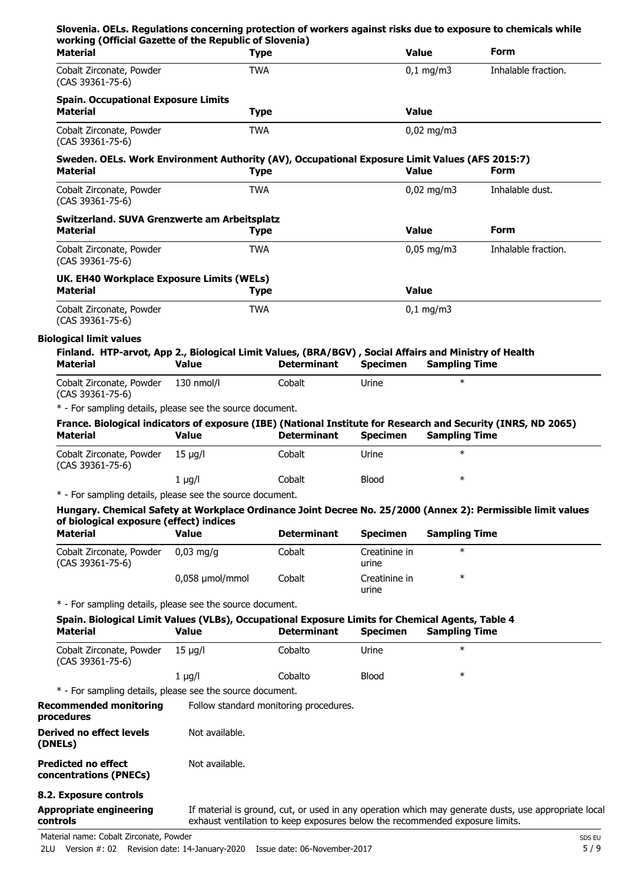| working (Official Gazette of the Republic of Slovenia)<br><b>Material</b>                                                                                                 | <b>Type</b>                  |                                                                              |                          | <b>Value</b>                   | <b>Form</b>                                                                                          |
|---------------------------------------------------------------------------------------------------------------------------------------------------------------------------|------------------------------|------------------------------------------------------------------------------|--------------------------|--------------------------------|------------------------------------------------------------------------------------------------------|
| Cobalt Zirconate, Powder<br>(CAS 39361-75-6)                                                                                                                              | <b>TWA</b>                   |                                                                              |                          | $0,1$ mg/m3                    | Inhalable fraction.                                                                                  |
| <b>Spain. Occupational Exposure Limits</b><br><b>Material</b>                                                                                                             | <b>Type</b>                  |                                                                              |                          | <b>Value</b>                   |                                                                                                      |
| Cobalt Zirconate, Powder<br>(CAS 39361-75-6)                                                                                                                              | <b>TWA</b>                   |                                                                              |                          | $0,02$ mg/m3                   |                                                                                                      |
| Sweden. OELs. Work Environment Authority (AV), Occupational Exposure Limit Values (AFS 2015:7)<br><b>Material</b>                                                         | <b>Type</b>                  |                                                                              |                          | <b>Value</b>                   | Form                                                                                                 |
| Cobalt Zirconate, Powder<br>(CAS 39361-75-6)                                                                                                                              | <b>TWA</b>                   |                                                                              |                          | $0,02$ mg/m3                   | Inhalable dust.                                                                                      |
| Switzerland. SUVA Grenzwerte am Arbeitsplatz<br><b>Material</b>                                                                                                           | <b>Type</b>                  |                                                                              |                          | <b>Value</b>                   | Form                                                                                                 |
| Cobalt Zirconate, Powder<br>(CAS 39361-75-6)                                                                                                                              | <b>TWA</b>                   |                                                                              |                          | $0,05$ mg/m3                   | Inhalable fraction.                                                                                  |
| UK. EH40 Workplace Exposure Limits (WELs)<br><b>Material</b>                                                                                                              | <b>Type</b>                  |                                                                              |                          | <b>Value</b>                   |                                                                                                      |
| Cobalt Zirconate, Powder<br>(CAS 39361-75-6)                                                                                                                              | <b>TWA</b>                   |                                                                              |                          | $0,1$ mg/m3                    |                                                                                                      |
| <b>Biological limit values</b>                                                                                                                                            |                              |                                                                              |                          |                                |                                                                                                      |
| Finland. HTP-arvot, App 2., Biological Limit Values, (BRA/BGV), Social Affairs and Ministry of Health                                                                     |                              |                                                                              |                          |                                |                                                                                                      |
| <b>Material</b><br>Cobalt Zirconate, Powder                                                                                                                               | <b>Value</b><br>$130$ nmol/l | <b>Determinant</b><br>Cobalt                                                 | <b>Specimen</b><br>Urine | <b>Sampling Time</b><br>$\ast$ |                                                                                                      |
| (CAS 39361-75-6)<br>* - For sampling details, please see the source document.                                                                                             |                              |                                                                              |                          |                                |                                                                                                      |
| France. Biological indicators of exposure (IBE) (National Institute for Research and Security (INRS, ND 2065)                                                             |                              |                                                                              |                          |                                |                                                                                                      |
| <b>Material</b>                                                                                                                                                           | <b>Value</b>                 | <b>Determinant</b>                                                           | <b>Specimen</b>          | <b>Sampling Time</b>           |                                                                                                      |
| Cobalt Zirconate, Powder<br>(CAS 39361-75-6)                                                                                                                              | $15 \mu g/l$                 | Cobalt                                                                       | Urine                    | $\ast$                         |                                                                                                      |
|                                                                                                                                                                           | $1 \mu g/l$                  | Cobalt                                                                       | <b>Blood</b>             | $\ast$                         |                                                                                                      |
| * - For sampling details, please see the source document.<br>Hungary. Chemical Safety at Workplace Ordinance Joint Decree No. 25/2000 (Annex 2): Permissible limit values |                              |                                                                              |                          |                                |                                                                                                      |
| of biological exposure (effect) indices                                                                                                                                   |                              |                                                                              |                          |                                |                                                                                                      |
| <b>Material</b>                                                                                                                                                           | <b>Value</b>                 | <b>Determinant</b>                                                           | <b>Specimen</b>          | <b>Sampling Time</b>           |                                                                                                      |
| Cobalt Zirconate, Powder<br>(CAS 39361-75-6)                                                                                                                              | $0.03$ mg/g                  | Cobalt                                                                       | Creatinine in<br>urine   | $\ast$                         |                                                                                                      |
|                                                                                                                                                                           | 0,058 µmol/mmol              | Cobalt                                                                       | Creatinine in<br>urine   | $\ast$                         |                                                                                                      |
| * - For sampling details, please see the source document.<br>Spain. Biological Limit Values (VLBs), Occupational Exposure Limits for Chemical Agents, Table 4             |                              |                                                                              |                          |                                |                                                                                                      |
| <b>Material</b>                                                                                                                                                           | <b>Value</b>                 | <b>Determinant</b>                                                           | <b>Specimen</b>          | <b>Sampling Time</b>           |                                                                                                      |
| Cobalt Zirconate, Powder<br>(CAS 39361-75-6)                                                                                                                              | $15 \mu g/l$                 | Cobalto                                                                      | Urine                    | $\ast$                         |                                                                                                      |
|                                                                                                                                                                           | $1 \mu g/l$                  | Cobalto                                                                      | <b>Blood</b>             | $\ast$                         |                                                                                                      |
| * - For sampling details, please see the source document.                                                                                                                 |                              |                                                                              |                          |                                |                                                                                                      |
| <b>Recommended monitoring</b><br>procedures                                                                                                                               |                              | Follow standard monitoring procedures.                                       |                          |                                |                                                                                                      |
| <b>Derived no effect levels</b><br>(DNELs)                                                                                                                                | Not available.               |                                                                              |                          |                                |                                                                                                      |
| <b>Predicted no effect</b><br>concentrations (PNECs)                                                                                                                      | Not available.               |                                                                              |                          |                                |                                                                                                      |
| 8.2. Exposure controls                                                                                                                                                    |                              |                                                                              |                          |                                | If material is ground, cut, or used in any operation which may generate dusts, use appropriate local |
| <b>Appropriate engineering</b><br>controls                                                                                                                                |                              | exhaust ventilation to keep exposures below the recommended exposure limits. |                          |                                |                                                                                                      |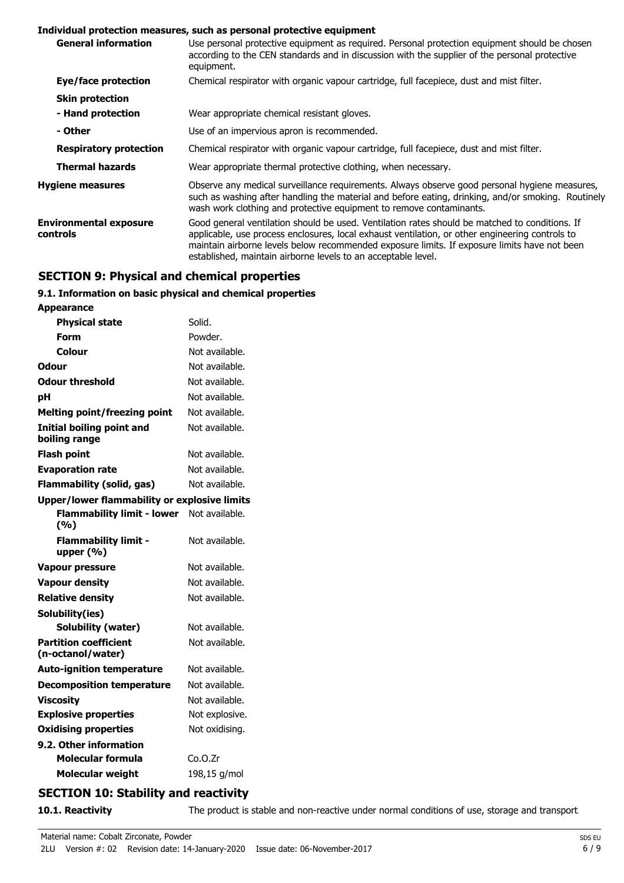#### **Individual protection measures, such as personal protective equipment**

| <b>General information</b>                | Use personal protective equipment as required. Personal protection equipment should be chosen<br>according to the CEN standards and in discussion with the supplier of the personal protective<br>equipment.                                                                                                                                                       |
|-------------------------------------------|--------------------------------------------------------------------------------------------------------------------------------------------------------------------------------------------------------------------------------------------------------------------------------------------------------------------------------------------------------------------|
| Eye/face protection                       | Chemical respirator with organic vapour cartridge, full facepiece, dust and mist filter.                                                                                                                                                                                                                                                                           |
| <b>Skin protection</b>                    |                                                                                                                                                                                                                                                                                                                                                                    |
| - Hand protection                         | Wear appropriate chemical resistant gloves.                                                                                                                                                                                                                                                                                                                        |
| - Other                                   | Use of an impervious apron is recommended.                                                                                                                                                                                                                                                                                                                         |
| <b>Respiratory protection</b>             | Chemical respirator with organic vapour cartridge, full facepiece, dust and mist filter.                                                                                                                                                                                                                                                                           |
| <b>Thermal hazards</b>                    | Wear appropriate thermal protective clothing, when necessary.                                                                                                                                                                                                                                                                                                      |
| <b>Hygiene measures</b>                   | Observe any medical surveillance requirements. Always observe good personal hygiene measures,<br>such as washing after handling the material and before eating, drinking, and/or smoking. Routinely<br>wash work clothing and protective equipment to remove contaminants.                                                                                         |
| <b>Environmental exposure</b><br>controls | Good general ventilation should be used. Ventilation rates should be matched to conditions. If<br>applicable, use process enclosures, local exhaust ventilation, or other engineering controls to<br>maintain airborne levels below recommended exposure limits. If exposure limits have not been<br>established, maintain airborne levels to an acceptable level. |

## **SECTION 9: Physical and chemical properties**

# **9.1. Information on basic physical and chemical properties**

| <b>Appearance</b>                                   |                |
|-----------------------------------------------------|----------------|
| <b>Physical state</b>                               | Solid.         |
| Form                                                | Powder.        |
| Colour                                              | Not available. |
| Odour                                               | Not available. |
| <b>Odour threshold</b>                              | Not available. |
| рH                                                  | Not available. |
| <b>Melting point/freezing point</b>                 | Not available. |
| Initial boiling point and<br>boiling range          | Not available. |
| <b>Flash point</b>                                  | Not available. |
| <b>Evaporation rate</b>                             | Not available. |
| <b>Flammability (solid, gas)</b>                    | Not available. |
| <b>Upper/lower flammability or explosive limits</b> |                |
| <b>Flammability limit - lower</b><br>(9/6)          | Not available. |
| <b>Flammability limit -</b><br>upper $(% )$         | Not available. |
| <b>Vapour pressure</b>                              | Not available. |
| <b>Vapour density</b>                               | Not available. |
| <b>Relative density</b>                             | Not available. |
| Solubility(ies)                                     |                |
| Solubility (water)                                  | Not available. |
| <b>Partition coefficient</b><br>(n-octanol/water)   | Not available. |
| <b>Auto-ignition temperature</b>                    | Not available. |
| <b>Decomposition temperature</b>                    | Not available. |
| <b>Viscosity</b>                                    | Not available. |
| <b>Explosive properties</b>                         | Not explosive. |
| <b>Oxidising properties</b>                         | Not oxidising. |
| 9.2. Other information                              |                |
| Molecular formula                                   | Co.O.Zr        |
| <b>Molecular weight</b>                             | 198,15 g/mol   |
|                                                     |                |

# **SECTION 10: Stability and reactivity**

**10.1. Reactivity** The product is stable and non-reactive under normal conditions of use, storage and transport.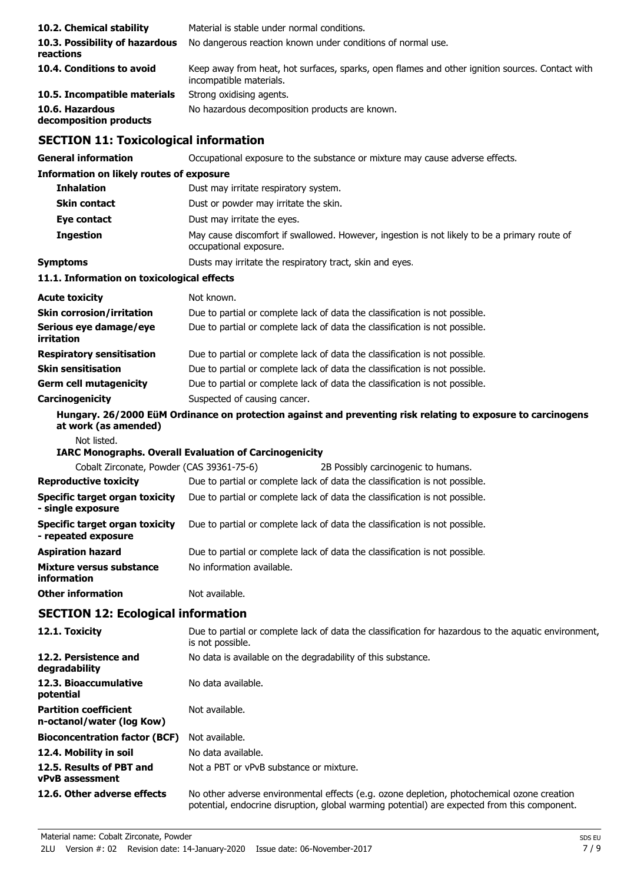| 10.2. Chemical stability                                     | Material is stable under normal conditions.                                                                                                     |
|--------------------------------------------------------------|-------------------------------------------------------------------------------------------------------------------------------------------------|
| 10.3. Possibility of hazardous<br>reactions                  | No dangerous reaction known under conditions of normal use.                                                                                     |
| 10.4. Conditions to avoid                                    | Keep away from heat, hot surfaces, sparks, open flames and other ignition sources. Contact with<br>incompatible materials.                      |
| 10.5. Incompatible materials                                 | Strong oxidising agents.                                                                                                                        |
| 10.6. Hazardous<br>decomposition products                    | No hazardous decomposition products are known.                                                                                                  |
| <b>SECTION 11: Toxicological information</b>                 |                                                                                                                                                 |
| <b>General information</b>                                   | Occupational exposure to the substance or mixture may cause adverse effects.                                                                    |
| <b>Information on likely routes of exposure</b>              |                                                                                                                                                 |
| <b>Inhalation</b>                                            | Dust may irritate respiratory system.                                                                                                           |
| <b>Skin contact</b>                                          | Dust or powder may irritate the skin.                                                                                                           |
| Eye contact                                                  | Dust may irritate the eyes.                                                                                                                     |
| <b>Ingestion</b>                                             | May cause discomfort if swallowed. However, ingestion is not likely to be a primary route of<br>occupational exposure.                          |
| <b>Symptoms</b>                                              | Dusts may irritate the respiratory tract, skin and eyes.                                                                                        |
| 11.1. Information on toxicological effects                   |                                                                                                                                                 |
| <b>Acute toxicity</b>                                        | Not known.                                                                                                                                      |
| <b>Skin corrosion/irritation</b>                             | Due to partial or complete lack of data the classification is not possible.                                                                     |
| Serious eye damage/eye<br>irritation                         | Due to partial or complete lack of data the classification is not possible.                                                                     |
| <b>Respiratory sensitisation</b>                             | Due to partial or complete lack of data the classification is not possible.                                                                     |
| <b>Skin sensitisation</b>                                    | Due to partial or complete lack of data the classification is not possible.                                                                     |
| <b>Germ cell mutagenicity</b>                                | Due to partial or complete lack of data the classification is not possible.                                                                     |
| Carcinogenicity                                              | Suspected of causing cancer.                                                                                                                    |
| at work (as amended)                                         | Hungary. 26/2000 EüM Ordinance on protection against and preventing risk relating to exposure to carcinogens                                    |
| Not listed.                                                  |                                                                                                                                                 |
| Cobalt Zirconate, Powder (CAS 39361-75-6)                    | <b>IARC Monographs. Overall Evaluation of Carcinogenicity</b>                                                                                   |
|                                                              | 2B Possibly carcinogenic to humans.<br><b>Reproductive toxicity</b> Due to partial or complete lack of data the classification is not possible. |
| Specific target organ toxicity<br>- single exposure          | Due to partial or complete lack of data the classification is not possible.                                                                     |
| <b>Specific target organ toxicity</b><br>- repeated exposure | Due to partial or complete lack of data the classification is not possible.                                                                     |
| <b>Aspiration hazard</b>                                     | Due to partial or complete lack of data the classification is not possible.                                                                     |
| <b>Mixture versus substance</b><br>information               | No information available.                                                                                                                       |
| <b>Other information</b>                                     | Not available.                                                                                                                                  |
| <b>SECTION 12: Ecological information</b>                    |                                                                                                                                                 |
| 12.1. Toxicity                                               | Due to partial or complete lack of data the classification for hazardous to the aquatic environment,<br>is not possible.                        |
| 12.2. Persistence and<br>degradability                       | No data is available on the degradability of this substance.                                                                                    |
| 12.3. Bioaccumulative<br>potential                           | No data available.                                                                                                                              |
| <b>Partition coefficient</b><br>n-octanol/water (log Kow)    | Not available.                                                                                                                                  |
| <b>Bioconcentration factor (BCF)</b>                         | Not available.                                                                                                                                  |
| 12.4. Mobility in soil                                       | No data available.                                                                                                                              |
| 12.5. Results of PBT and<br><b>vPvB</b> assessment           | Not a PBT or vPvB substance or mixture.                                                                                                         |

**12.6. Other adverse effects** No other adverse environmental effects (e.g. ozone depletion, photochemical ozone creation potential, endocrine disruption, global warming potential) are expected from this component.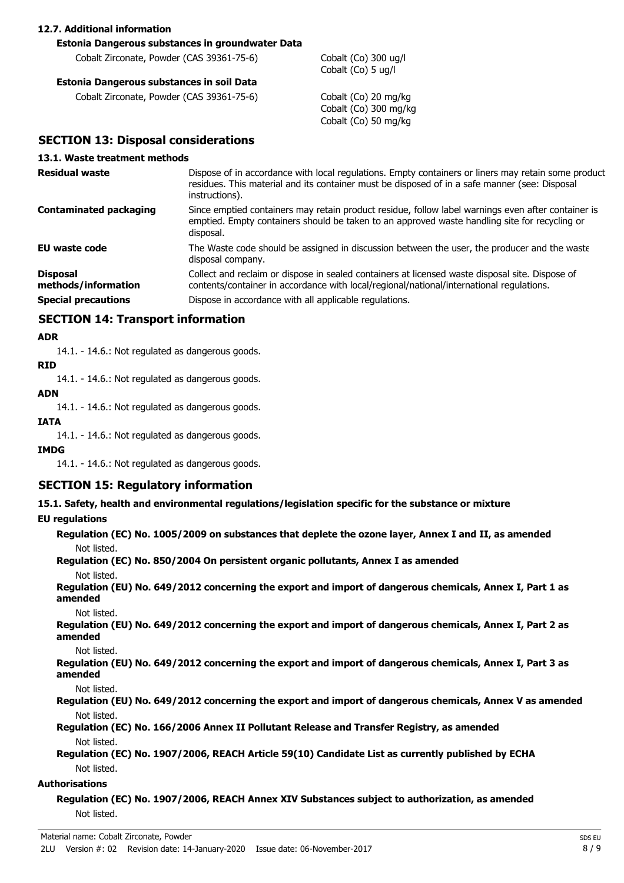#### **12.7. Additional information**

#### **Estonia Dangerous substances in groundwater Data**

Cobalt Zirconate, Powder (CAS 39361-75-6) Cobalt (Co) 300 ug/l

#### **Estonia Dangerous substances in soil Data**

Cobalt Zirconate, Powder (CAS 39361-75-6) Cobalt (Co) 20 mg/kg

Cobalt (Co) 5 ug/l

Cobalt (Co) 300 mg/kg Cobalt (Co) 50 mg/kg

### **SECTION 13: Disposal considerations**

#### **13.1. Waste treatment methods**

| <b>Residual waste</b>                  | Dispose of in accordance with local regulations. Empty containers or liners may retain some product<br>residues. This material and its container must be disposed of in a safe manner (see: Disposal<br>instructions). |
|----------------------------------------|------------------------------------------------------------------------------------------------------------------------------------------------------------------------------------------------------------------------|
| <b>Contaminated packaging</b>          | Since emptied containers may retain product residue, follow label warnings even after container is<br>emptied. Empty containers should be taken to an approved waste handling site for recycling or<br>disposal.       |
| <b>EU waste code</b>                   | The Waste code should be assigned in discussion between the user, the producer and the waste<br>disposal company.                                                                                                      |
| <b>Disposal</b><br>methods/information | Collect and reclaim or dispose in sealed containers at licensed waste disposal site. Dispose of<br>contents/container in accordance with local/regional/national/international regulations.                            |
| <b>Special precautions</b>             | Dispose in accordance with all applicable regulations.                                                                                                                                                                 |

## **SECTION 14: Transport information**

#### **ADR**

14.1. - 14.6.: Not regulated as dangerous goods.

### **RID**

14.1. - 14.6.: Not regulated as dangerous goods.

# **ADN**

14.1. - 14.6.: Not regulated as dangerous goods.

#### **IATA**

14.1. - 14.6.: Not regulated as dangerous goods.

#### **IMDG**

14.1. - 14.6.: Not regulated as dangerous goods.

# **SECTION 15: Regulatory information**

#### **15.1. Safety, health and environmental regulations/legislation specific for the substance or mixture**

#### **EU regulations**

**Regulation (EC) No. 1005/2009 on substances that deplete the ozone layer, Annex I and II, as amended** Not listed.

#### **Regulation (EC) No. 850/2004 On persistent organic pollutants, Annex I as amended** Not listed.

**Regulation (EU) No. 649/2012 concerning the export and import of dangerous chemicals, Annex I, Part 1 as amended**

Not listed.

**Regulation (EU) No. 649/2012 concerning the export and import of dangerous chemicals, Annex I, Part 2 as amended**

Not listed.

**Regulation (EU) No. 649/2012 concerning the export and import of dangerous chemicals, Annex I, Part 3 as amended**

Not listed.

### **Regulation (EU) No. 649/2012 concerning the export and import of dangerous chemicals, Annex V as amended** Not listed.

**Regulation (EC) No. 166/2006 Annex II Pollutant Release and Transfer Registry, as amended** Not listed.

**Regulation (EC) No. 1907/2006, REACH Article 59(10) Candidate List as currently published by ECHA** Not listed.

#### **Authorisations**

**Regulation (EC) No. 1907/2006, REACH Annex XIV Substances subject to authorization, as amended** Not listed.